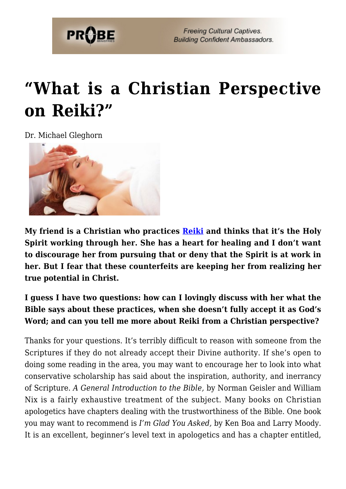

**Freeing Cultural Captives. Building Confident Ambassadors.** 

## **["What is a Christian Perspective](https://probe.org/what-is-a-christian-perspective-on-reiki/) [on Reiki?"](https://probe.org/what-is-a-christian-perspective-on-reiki/)**

Dr. Michael Gleghorn



**My friend is a Christian who practices [Reiki](https://www.probe.org/reiki/) and thinks that it's the Holy Spirit working through her. She has a heart for healing and I don't want to discourage her from pursuing that or deny that the Spirit is at work in her. But I fear that these counterfeits are keeping her from realizing her true potential in Christ.**

**I guess I have two questions: how can I lovingly discuss with her what the Bible says about these practices, when she doesn't fully accept it as God's Word; and can you tell me more about Reiki from a Christian perspective?**

Thanks for your questions. It's terribly difficult to reason with someone from the Scriptures if they do not already accept their Divine authority. If she's open to doing some reading in the area, you may want to encourage her to look into what conservative scholarship has said about the inspiration, authority, and inerrancy of Scripture. *A General Introduction to the Bible,* by Norman Geisler and William Nix is a fairly exhaustive treatment of the subject. Many books on Christian apologetics have chapters dealing with the trustworthiness of the Bible. One book you may want to recommend is *I'm Glad You Asked,* by Ken Boa and Larry Moody. It is an excellent, beginner's level text in apologetics and has a chapter entitled,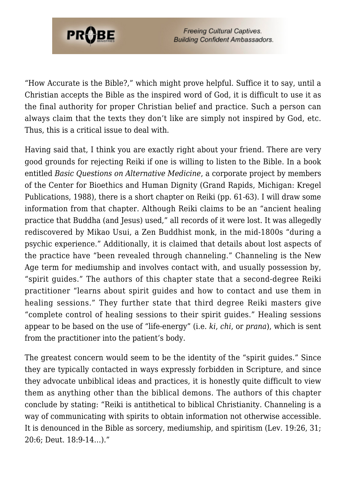

**Freeing Cultural Captives. Building Confident Ambassadors.** 

"How Accurate is the Bible?," which might prove helpful. Suffice it to say, until a Christian accepts the Bible as the inspired word of God, it is difficult to use it as the final authority for proper Christian belief and practice. Such a person can always claim that the texts they don't like are simply not inspired by God, etc. Thus, this is a critical issue to deal with.

Having said that, I think you are exactly right about your friend. There are very good grounds for rejecting Reiki if one is willing to listen to the Bible. In a book entitled *Basic Questions on Alternative Medicine*, a corporate project by members of the Center for Bioethics and Human Dignity (Grand Rapids, Michigan: Kregel Publications, 1988), there is a short chapter on Reiki (pp. 61-63). I will draw some information from that chapter. Although Reiki claims to be an "ancient healing practice that Buddha (and Jesus) used," all records of it were lost. It was allegedly rediscovered by Mikao Usui, a Zen Buddhist monk, in the mid-1800s "during a psychic experience." Additionally, it is claimed that details about lost aspects of the practice have "been revealed through channeling." Channeling is the New Age term for mediumship and involves contact with, and usually possession by, "spirit guides." The authors of this chapter state that a second-degree Reiki practitioner "learns about spirit guides and how to contact and use them in healing sessions." They further state that third degree Reiki masters give "complete control of healing sessions to their spirit guides." Healing sessions appear to be based on the use of "life-energy" (i.e. *ki*, *chi*, or *prana*), which is sent from the practitioner into the patient's body.

The greatest concern would seem to be the identity of the "spirit guides." Since they are typically contacted in ways expressly forbidden in Scripture, and since they advocate unbiblical ideas and practices, it is honestly quite difficult to view them as anything other than the biblical demons. The authors of this chapter conclude by stating: "Reiki is antithetical to biblical Christianity. Channeling is a way of communicating with spirits to obtain information not otherwise accessible. It is denounced in the Bible as sorcery, mediumship, and spiritism (Lev. 19:26, 31; 20:6; Deut. 18:9-14…)."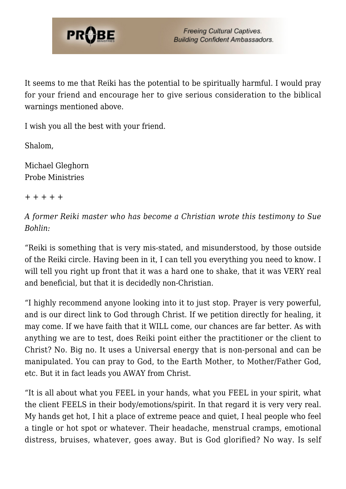

It seems to me that Reiki has the potential to be spiritually harmful. I would pray for your friend and encourage her to give serious consideration to the biblical warnings mentioned above.

I wish you all the best with your friend.

Shalom,

Michael Gleghorn Probe Ministries

+ + + + +

*A former Reiki master who has become a Christian wrote this testimony to Sue Bohlin:*

"Reiki is something that is very mis-stated, and misunderstood, by those outside of the Reiki circle. Having been in it, I can tell you everything you need to know. I will tell you right up front that it was a hard one to shake, that it was VERY real and beneficial, but that it is decidedly non-Christian.

"I highly recommend anyone looking into it to just stop. Prayer is very powerful, and is our direct link to God through Christ. If we petition directly for healing, it may come. If we have faith that it WILL come, our chances are far better. As with anything we are to test, does Reiki point either the practitioner or the client to Christ? No. Big no. It uses a Universal energy that is non-personal and can be manipulated. You can pray to God, to the Earth Mother, to Mother/Father God, etc. But it in fact leads you AWAY from Christ.

"It is all about what you FEEL in your hands, what you FEEL in your spirit, what the client FEELS in their body/emotions/spirit. In that regard it is very very real. My hands get hot, I hit a place of extreme peace and quiet, I heal people who feel a tingle or hot spot or whatever. Their headache, menstrual cramps, emotional distress, bruises, whatever, goes away. But is God glorified? No way. Is self